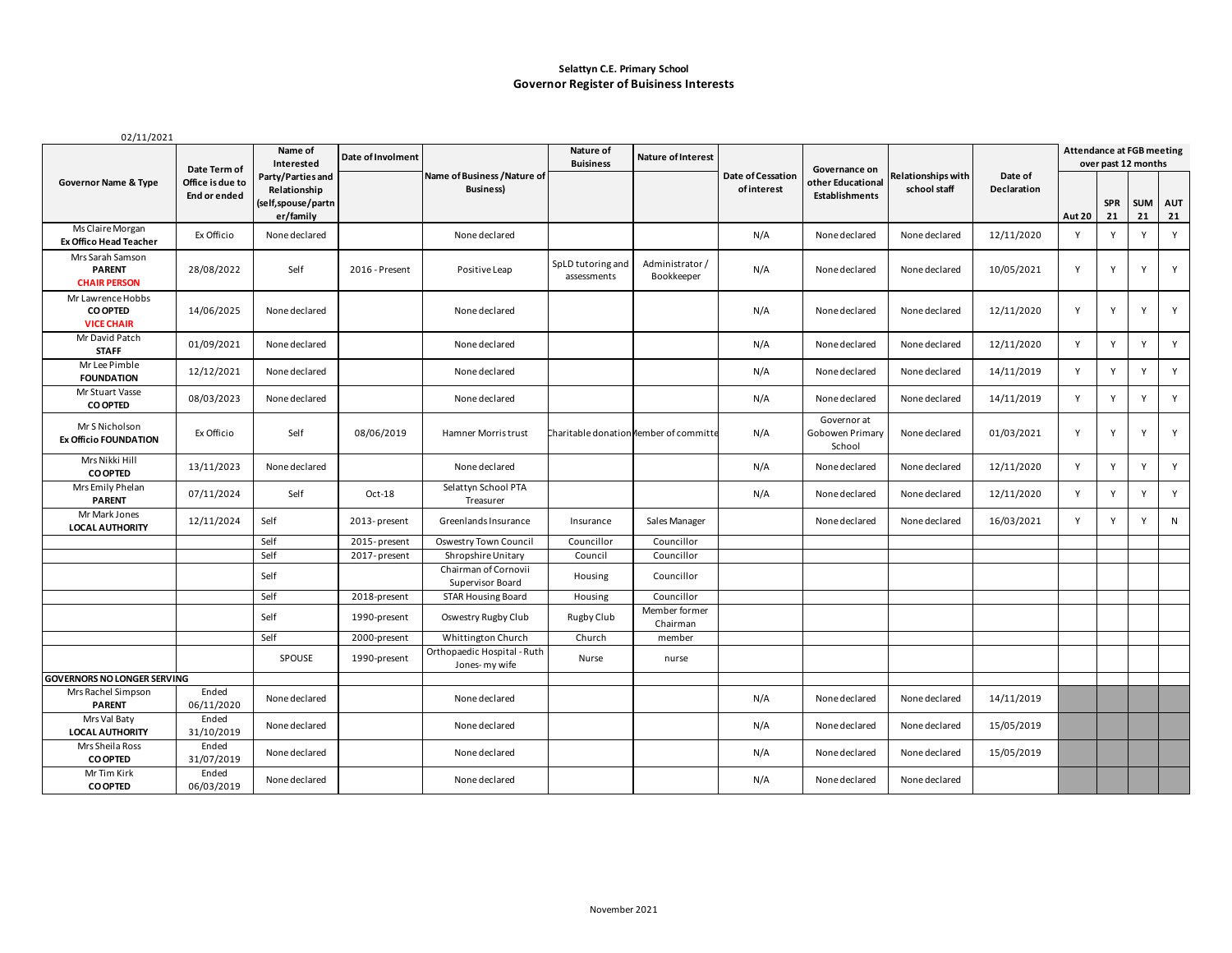#### **Selattyn C.E. Primary School Governor Register of Buisiness Interests**

| 02/11/2021                                                |                                                  |                                                                                               |                   |                                                  |                                        |                              |                                  |                                                             |                                    |                        |                                                         |                  |                  |                  |  |
|-----------------------------------------------------------|--------------------------------------------------|-----------------------------------------------------------------------------------------------|-------------------|--------------------------------------------------|----------------------------------------|------------------------------|----------------------------------|-------------------------------------------------------------|------------------------------------|------------------------|---------------------------------------------------------|------------------|------------------|------------------|--|
| <b>Governor Name &amp; Type</b>                           | Date Term of<br>Office is due to<br>End or ended | Name of<br>Interested<br>Party/Parties and<br>Relationship<br>(self,spouse/partn<br>er/family | Date of Involment | Name of Business / Nature of<br><b>Business)</b> | Nature of<br><b>Buisiness</b>          | <b>Nature of Interest</b>    | Date of Cessation<br>of interest | Governance on<br>other Educational<br><b>Establishments</b> | Relationships with<br>school staff | Date of<br>Declaration | <b>Attendance at FGB meeting</b><br>over past 12 months |                  |                  |                  |  |
|                                                           |                                                  |                                                                                               |                   |                                                  |                                        |                              |                                  |                                                             |                                    |                        | <b>Aut 20</b>                                           | <b>SPR</b><br>21 | <b>SUM</b><br>21 | <b>AUT</b><br>21 |  |
| Ms Claire Morgan<br><b>Ex Offico Head Teacher</b>         | Ex Officio                                       | None declared                                                                                 |                   | None declared                                    |                                        |                              | N/A                              | None declared                                               | None declared                      | 12/11/2020             | Y                                                       | Y                | Y                | Y                |  |
| Mrs Sarah Samson<br><b>PARENT</b><br><b>CHAIR PERSON</b>  | 28/08/2022                                       | Self                                                                                          | 2016 - Present    | Positive Leap                                    | SpLD tutoring and<br>assessments       | Administrator/<br>Bookkeeper | N/A                              | None declared                                               | None declared                      | 10/05/2021             | Y                                                       | Y                | Y                | Y                |  |
| Mr Lawrence Hobbs<br><b>CO OPTED</b><br><b>VICE CHAIR</b> | 14/06/2025                                       | None declared                                                                                 |                   | None declared                                    |                                        |                              | N/A                              | None declared                                               | None declared                      | 12/11/2020             | Y                                                       | Y                | Y                | Y                |  |
| Mr David Patch<br><b>STAFF</b>                            | 01/09/2021                                       | None declared                                                                                 |                   | None declared                                    |                                        |                              | N/A                              | None declared                                               | None declared                      | 12/11/2020             | Y                                                       | Y                | Y                | Y                |  |
| Mr Lee Pimble<br><b>FOUNDATION</b>                        | 12/12/2021                                       | None declared                                                                                 |                   | None declared                                    |                                        |                              | N/A                              | None declared                                               | None declared                      | 14/11/2019             | Y                                                       | Y                | Y                | Y                |  |
| Mr Stuart Vasse<br><b>CO OPTED</b>                        | 08/03/2023                                       | None declared                                                                                 |                   | None declared                                    |                                        |                              | N/A                              | None declared                                               | None declared                      | 14/11/2019             | Y                                                       | Y                | Y                | Y                |  |
| Mr S Nicholson<br><b>Ex Officio FOUNDATION</b>            | Ex Officio                                       | Self                                                                                          | 08/06/2019        | Hamner Morris trust                              | Charitable donation nember of committe |                              | N/A                              | Governor at<br>Gobowen Primary<br>School                    | None declared                      | 01/03/2021             | Y                                                       | Y                | Y                | Y                |  |
| Mrs Nikki Hill<br><b>CO OPTED</b>                         | 13/11/2023                                       | None declared                                                                                 |                   | None declared                                    |                                        |                              | N/A                              | None declared                                               | None declared                      | 12/11/2020             | Y                                                       | Y                | Y                | Y                |  |
| Mrs Emily Phelan<br><b>PARENT</b>                         | 07/11/2024                                       | Self                                                                                          | Oct-18            | Selattyn School PTA<br>Treasurer                 |                                        |                              | N/A                              | None declared                                               | None declared                      | 12/11/2020             | Y                                                       | Y                | Y                | Y                |  |
| Mr Mark Jones<br><b>LOCAL AUTHORITY</b>                   | 12/11/2024                                       | Self                                                                                          | 2013-present      | Greenlands Insurance                             | Insurance                              | Sales Manager                |                                  | None declared                                               | None declared                      | 16/03/2021             | Y                                                       | Y                | Y                | $\mathsf{N}$     |  |
|                                                           |                                                  | Self                                                                                          | 2015-present      | Oswestry Town Council                            | Councillor                             | Councillor                   |                                  |                                                             |                                    |                        |                                                         |                  |                  |                  |  |
|                                                           |                                                  | Self                                                                                          | 2017-present      | Shropshire Unitary                               | Council                                | Councillor                   |                                  |                                                             |                                    |                        |                                                         |                  |                  |                  |  |
|                                                           |                                                  | Self                                                                                          |                   | Chairman of Cornovii<br>Supervisor Board         | Housing                                | Councillor                   |                                  |                                                             |                                    |                        |                                                         |                  |                  |                  |  |
|                                                           |                                                  | Self                                                                                          | 2018-present      | <b>STAR Housing Board</b>                        | Housing                                | Councillor                   |                                  |                                                             |                                    |                        |                                                         |                  |                  |                  |  |
|                                                           |                                                  | Self                                                                                          | 1990-present      | Oswestry Rugby Club                              | Rugby Club                             | Member former<br>Chairman    |                                  |                                                             |                                    |                        |                                                         |                  |                  |                  |  |
|                                                           |                                                  | Self                                                                                          | 2000-present      | Whittington Church                               | Church                                 | member                       |                                  |                                                             |                                    |                        |                                                         |                  |                  |                  |  |
|                                                           |                                                  | SPOUSE                                                                                        | 1990-present      | Orthopaedic Hospital - Ruth<br>Jones-my wife     | Nurse                                  | nurse                        |                                  |                                                             |                                    |                        |                                                         |                  |                  |                  |  |
| <b>GOVERNORS NO LONGER SERVING</b>                        |                                                  |                                                                                               |                   |                                                  |                                        |                              |                                  |                                                             |                                    |                        |                                                         |                  |                  |                  |  |
| Mrs Rachel Simpson<br><b>PARENT</b>                       | Ended<br>06/11/2020                              | None declared                                                                                 |                   | None declared                                    |                                        |                              | N/A                              | None declared                                               | None declared                      | 14/11/2019             |                                                         |                  |                  |                  |  |
| Mrs Val Baty<br><b>LOCAL AUTHORITY</b>                    | Ended<br>31/10/2019                              | None declared                                                                                 |                   | None declared                                    |                                        |                              | N/A                              | None declared                                               | None declared                      | 15/05/2019             |                                                         |                  |                  |                  |  |
| Mrs Sheila Ross<br><b>CO OPTED</b>                        | Ended<br>31/07/2019                              | None declared                                                                                 |                   | None declared                                    |                                        |                              | N/A                              | None declared                                               | None declared                      | 15/05/2019             |                                                         |                  |                  |                  |  |
| Mr Tim Kirk<br><b>CO OPTED</b>                            | Ended<br>06/03/2019                              | None declared                                                                                 |                   | None declared                                    |                                        |                              | N/A                              | None declared                                               | None declared                      |                        |                                                         |                  |                  |                  |  |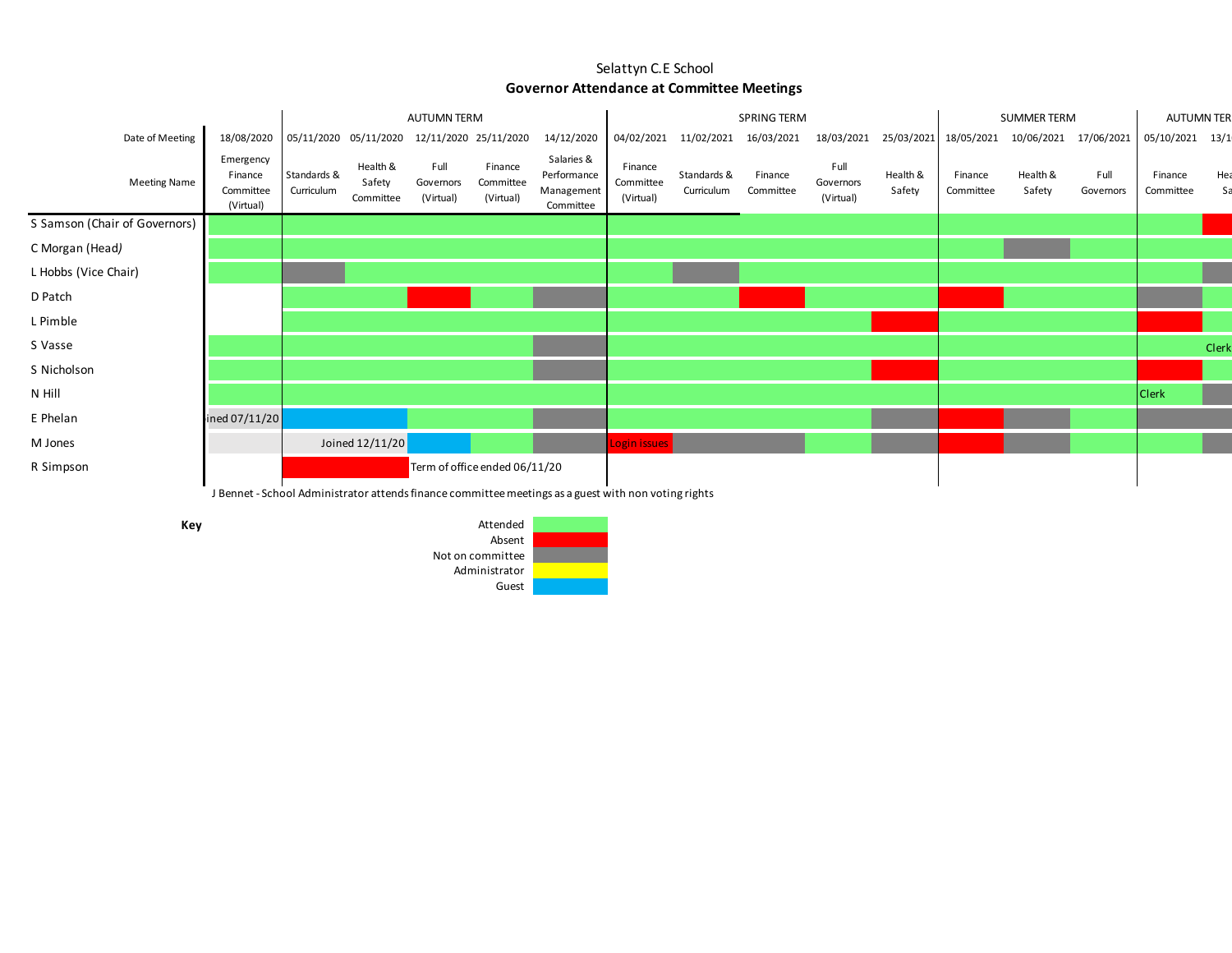|                               | <b>AUTUMN TERM</b>                                                                                   |                           |                                             |                                |                                   | SPRING TERM                                          |                                   |                           |                      |                                | <b>SUMMER TERM</b> | <b>AUTUMN TER</b>     |                    |                   |                      |           |
|-------------------------------|------------------------------------------------------------------------------------------------------|---------------------------|---------------------------------------------|--------------------------------|-----------------------------------|------------------------------------------------------|-----------------------------------|---------------------------|----------------------|--------------------------------|--------------------|-----------------------|--------------------|-------------------|----------------------|-----------|
| Date of Meeting               | 18/08/2020                                                                                           |                           | 05/11/2020 05/11/2020 12/11/2020 25/11/2020 |                                |                                   | 14/12/2020                                           | 04/02/2021                        | 11/02/2021                | 16/03/2021           | 18/03/2021                     |                    | 25/03/2021 18/05/2021 | 10/06/2021         | 17/06/2021        | 05/10/2021 13/1      |           |
| <b>Meeting Name</b>           | Emergency<br>Finance<br>Committee<br>(Virtual)                                                       | Standards &<br>Curriculum | Health &<br>Safety<br>Committee             | Full<br>Governors<br>(Virtual) | Finance<br>Committee<br>(Virtual) | Salaries &<br>Performance<br>Management<br>Committee | Finance<br>Committee<br>(Virtual) | Standards &<br>Curriculum | Finance<br>Committee | Full<br>Governors<br>(Virtual) | Health &<br>Safety | Finance<br>Committee  | Health &<br>Safety | Full<br>Governors | Finance<br>Committee | Hea<br>Sa |
| S Samson (Chair of Governors) |                                                                                                      |                           |                                             |                                |                                   |                                                      |                                   |                           |                      |                                |                    |                       |                    |                   |                      |           |
| C Morgan (Head)               |                                                                                                      |                           |                                             |                                |                                   |                                                      |                                   |                           |                      |                                |                    |                       |                    |                   |                      |           |
| L Hobbs (Vice Chair)          |                                                                                                      |                           |                                             |                                |                                   |                                                      |                                   |                           |                      |                                |                    |                       |                    |                   |                      |           |
| D Patch                       |                                                                                                      |                           |                                             |                                |                                   |                                                      |                                   |                           |                      |                                |                    |                       |                    |                   |                      |           |
| L Pimble                      |                                                                                                      |                           |                                             |                                |                                   |                                                      |                                   |                           |                      |                                |                    |                       |                    |                   |                      |           |
| S Vasse                       |                                                                                                      |                           |                                             |                                |                                   |                                                      |                                   |                           |                      |                                |                    |                       |                    |                   |                      | Clerk     |
| S Nicholson                   |                                                                                                      |                           |                                             |                                |                                   |                                                      |                                   |                           |                      |                                |                    |                       |                    |                   |                      |           |
| N Hill                        |                                                                                                      |                           |                                             |                                |                                   |                                                      |                                   |                           |                      |                                |                    |                       |                    |                   | <b>Clerk</b>         |           |
| E Phelan                      | ined 07/11/20 $\vert$                                                                                |                           |                                             |                                |                                   |                                                      |                                   |                           |                      |                                |                    |                       |                    |                   |                      |           |
| M Jones                       |                                                                                                      |                           | Joined 12/11/20                             |                                |                                   |                                                      | Login issues                      |                           |                      |                                |                    |                       |                    |                   |                      |           |
| R Simpson                     |                                                                                                      |                           |                                             |                                | Term of office ended 06/11/20     |                                                      |                                   |                           |                      |                                |                    |                       |                    |                   |                      |           |
|                               | J Bennet - School Administrator attends finance committee meetings as a guest with non voting rights |                           |                                             |                                |                                   |                                                      |                                   |                           |                      |                                |                    |                       |                    |                   |                      |           |

**Key**

Administrator Guest Attended Absent Not on committee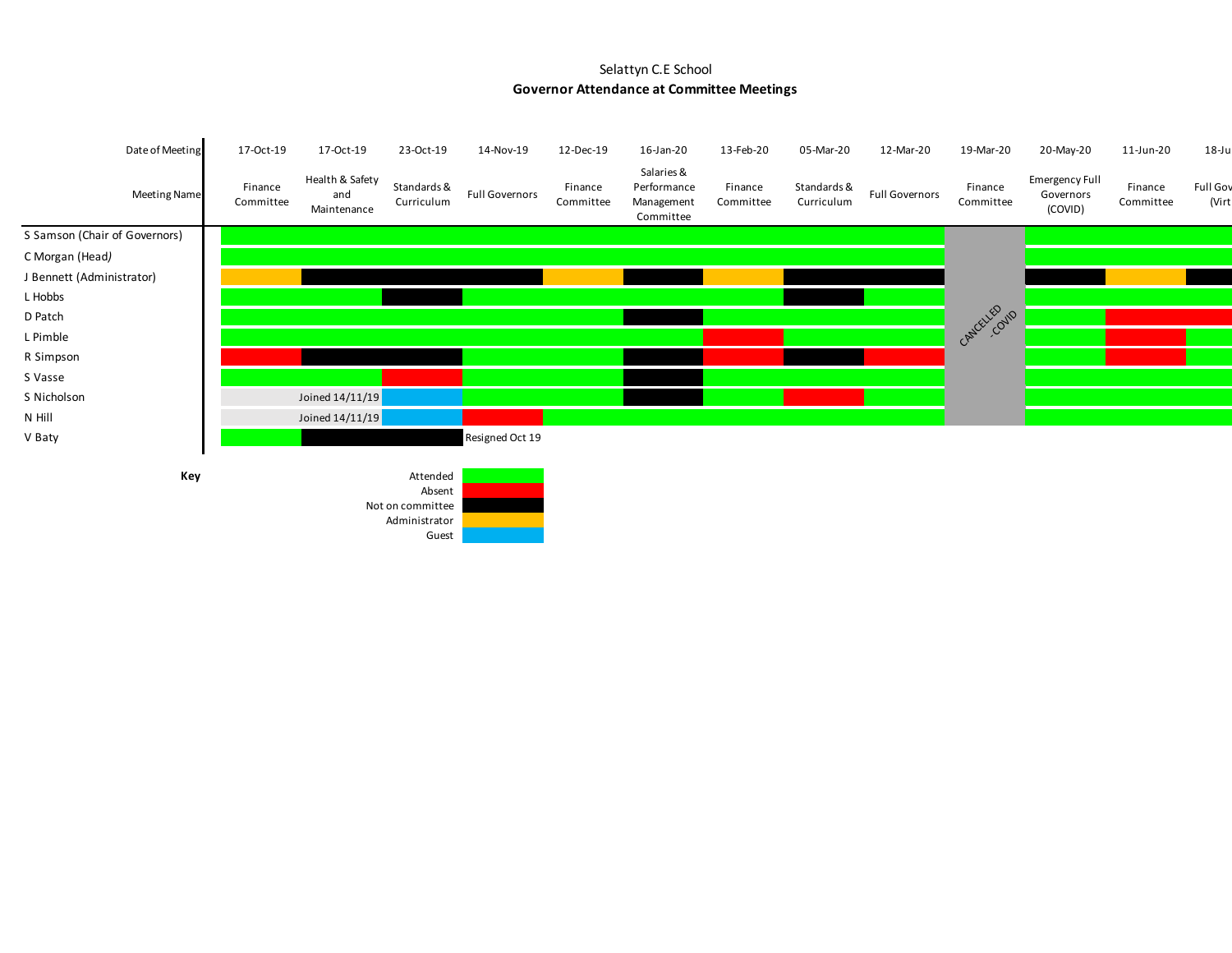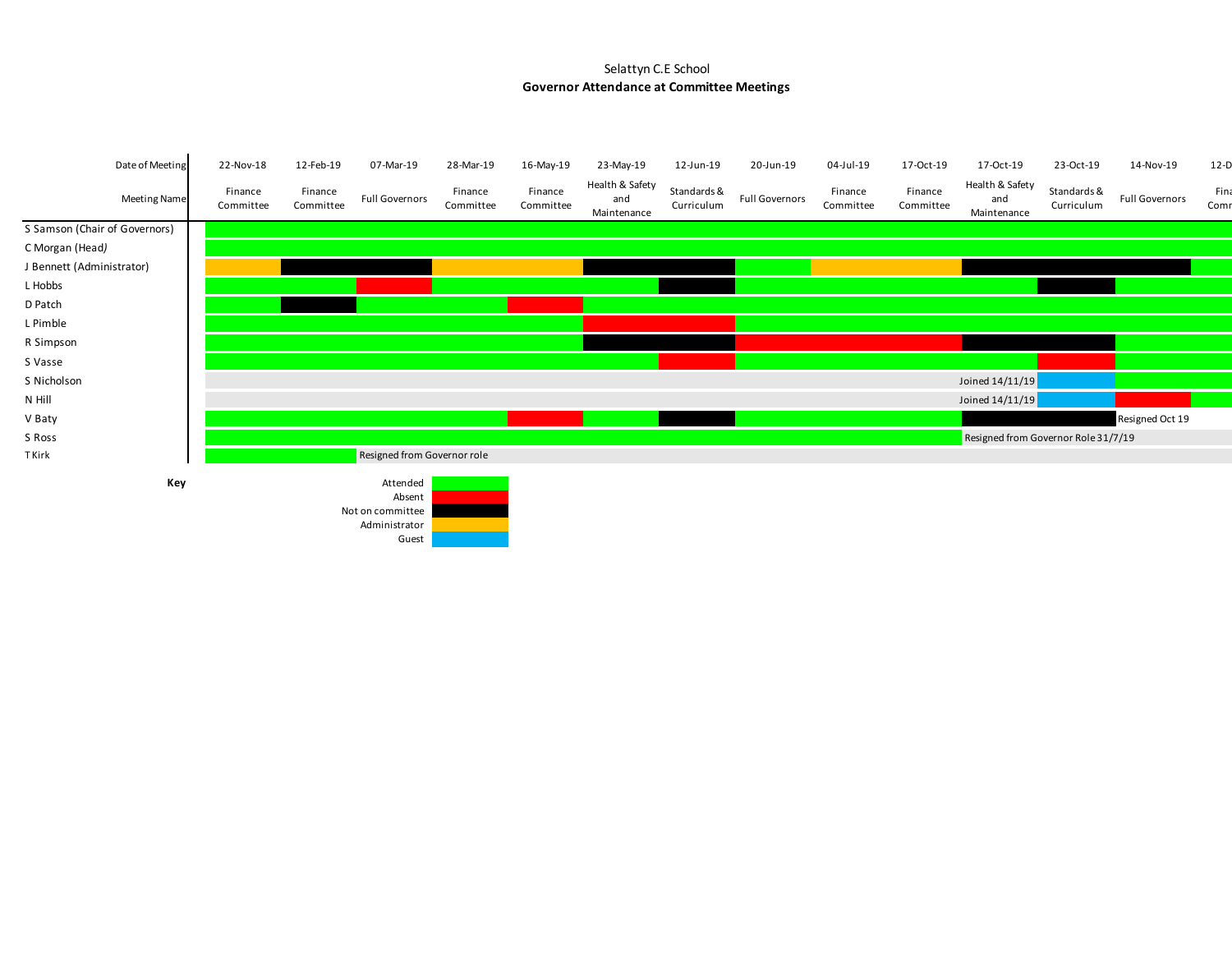